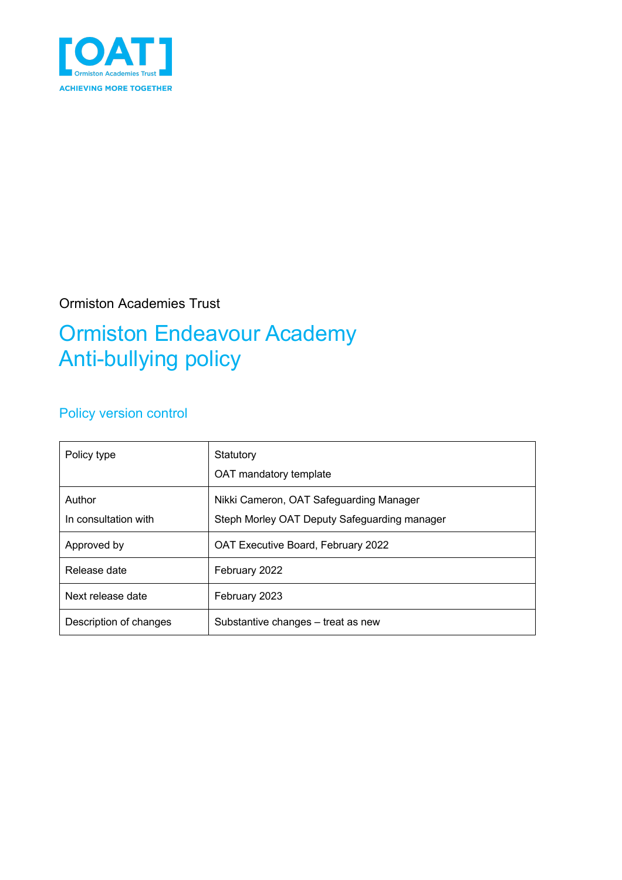

### Ormiston Academies Trust

# Ormiston Endeavour Academy Anti-bullying policy

## Policy version control

| Policy type                    | Statutory<br>OAT mandatory template                                                     |
|--------------------------------|-----------------------------------------------------------------------------------------|
| Author<br>In consultation with | Nikki Cameron, OAT Safeguarding Manager<br>Steph Morley OAT Deputy Safeguarding manager |
| Approved by                    | OAT Executive Board, February 2022                                                      |
| Release date                   | February 2022                                                                           |
| Next release date              | February 2023                                                                           |
| Description of changes         | Substantive changes – treat as new                                                      |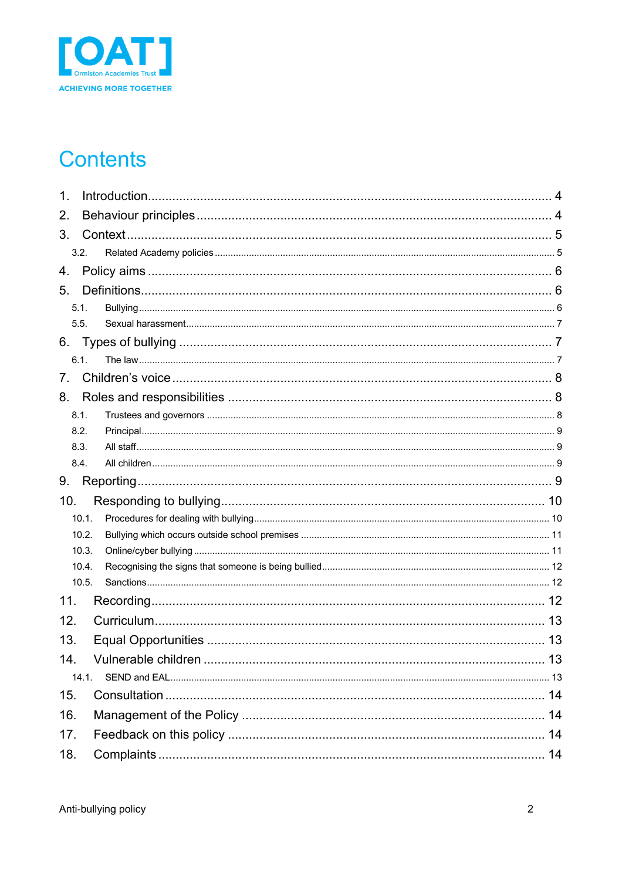

## **Contents**

| 1.  |       |  |  |  |
|-----|-------|--|--|--|
| 2.  |       |  |  |  |
| 3.  |       |  |  |  |
|     | 3.2.  |  |  |  |
| 4.  |       |  |  |  |
| 5.  |       |  |  |  |
|     | 5.1.  |  |  |  |
|     | 5.5.  |  |  |  |
| 6.  |       |  |  |  |
|     | 6.1.  |  |  |  |
| 7.  |       |  |  |  |
| 8.  |       |  |  |  |
|     | 8.1.  |  |  |  |
|     | 8.2.  |  |  |  |
|     | 8.3.  |  |  |  |
|     | 8.4.  |  |  |  |
| 9.  |       |  |  |  |
| 10. |       |  |  |  |
|     | 10.1. |  |  |  |
|     | 10.2. |  |  |  |
|     | 10.3. |  |  |  |
|     | 10.4. |  |  |  |
|     | 10.5. |  |  |  |
| 11. |       |  |  |  |
| 12. |       |  |  |  |
| 13. |       |  |  |  |
| 14. |       |  |  |  |
|     | 14.1. |  |  |  |
| 15. |       |  |  |  |
| 16. |       |  |  |  |
| 17. |       |  |  |  |
| 18. |       |  |  |  |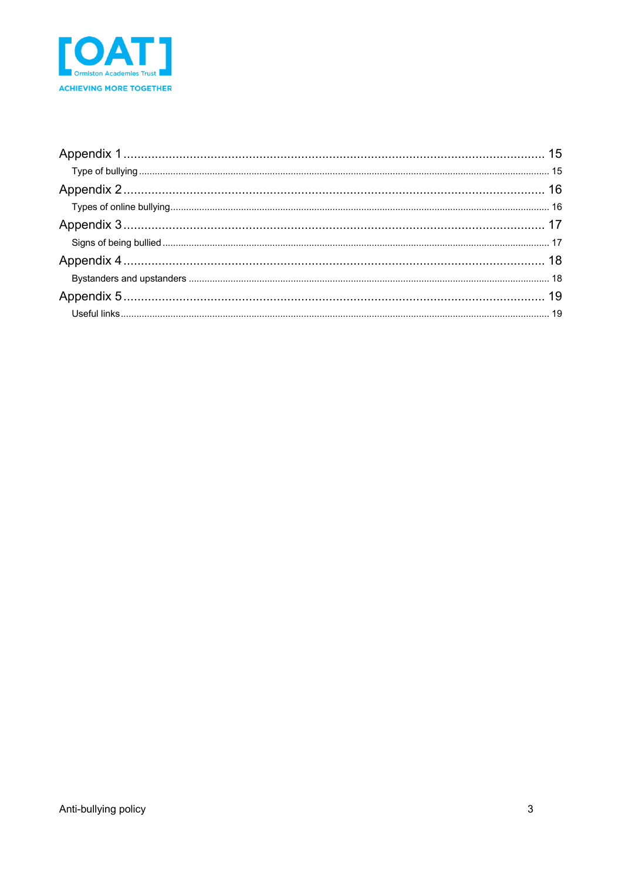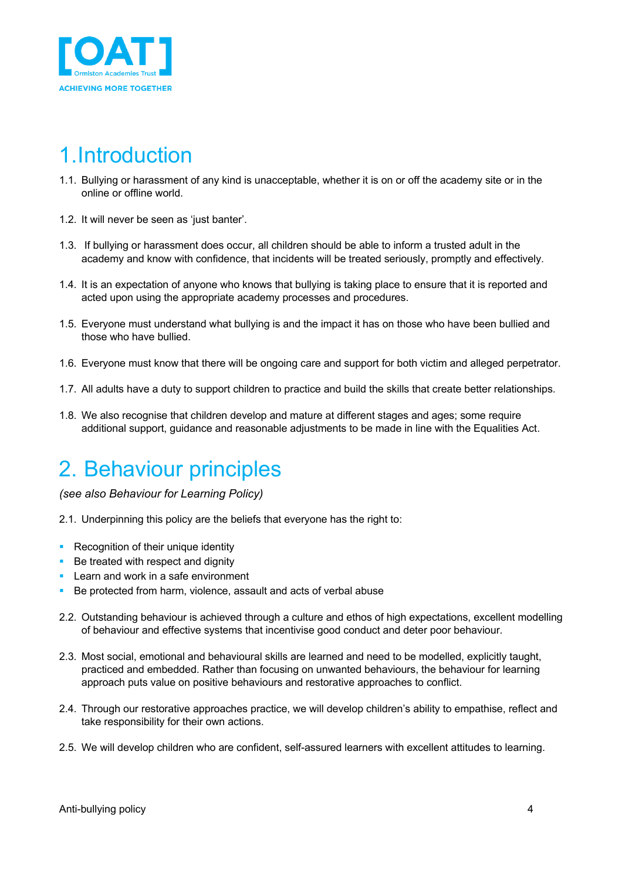

## 1.Introduction

- 1.1. Bullying or harassment of any kind is unacceptable, whether it is on or off the academy site or in the online or offline world.
- 1.2. It will never be seen as 'just banter'.
- 1.3. If bullying or harassment does occur, all children should be able to inform a trusted adult in the academy and know with confidence, that incidents will be treated seriously, promptly and effectively.
- 1.4. It is an expectation of anyone who knows that bullying is taking place to ensure that it is reported and acted upon using the appropriate academy processes and procedures.
- 1.5. Everyone must understand what bullying is and the impact it has on those who have been bullied and those who have bullied.
- 1.6. Everyone must know that there will be ongoing care and support for both victim and alleged perpetrator.
- 1.7. All adults have a duty to support children to practice and build the skills that create better relationships.
- 1.8. We also recognise that children develop and mature at different stages and ages; some require additional support, guidance and reasonable adjustments to be made in line with the Equalities Act.

## 2. Behaviour principles

*(see also Behaviour for Learning Policy)*

- 2.1. Underpinning this policy are the beliefs that everyone has the right to:
- Recognition of their unique identity
- Be treated with respect and dignity
- Learn and work in a safe environment
- Be protected from harm, violence, assault and acts of verbal abuse
- 2.2. Outstanding behaviour is achieved through a culture and ethos of high expectations, excellent modelling of behaviour and effective systems that incentivise good conduct and deter poor behaviour.
- 2.3. Most social, emotional and behavioural skills are learned and need to be modelled, explicitly taught, practiced and embedded. Rather than focusing on unwanted behaviours, the behaviour for learning approach puts value on positive behaviours and restorative approaches to conflict.
- 2.4. Through our restorative approaches practice, we will develop children's ability to empathise, reflect and take responsibility for their own actions.
- 2.5. We will develop children who are confident, self-assured learners with excellent attitudes to learning.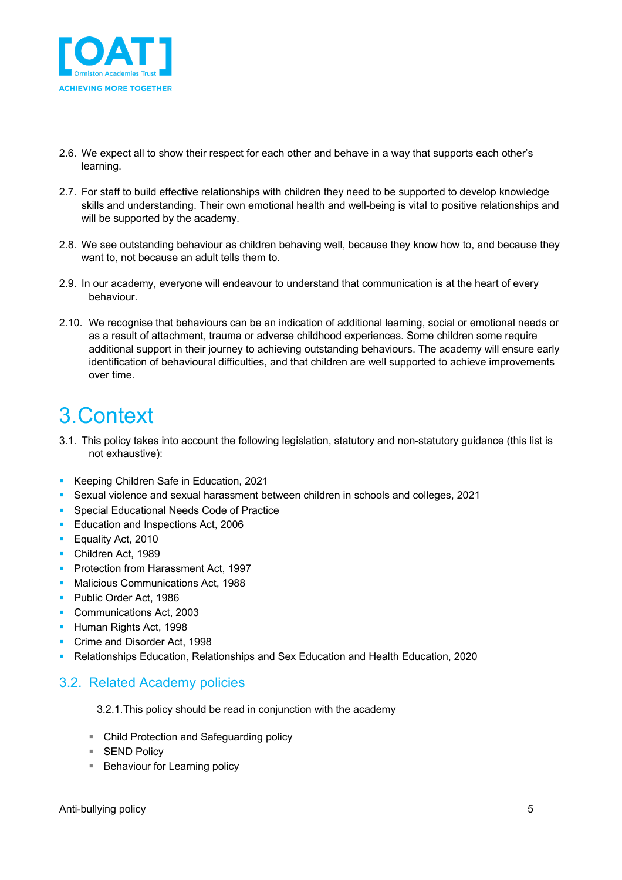

- 2.6. We expect all to show their respect for each other and behave in a way that supports each other's learning.
- 2.7. For staff to build effective relationships with children they need to be supported to develop knowledge skills and understanding. Their own emotional health and well-being is vital to positive relationships and will be supported by the academy.
- 2.8. We see outstanding behaviour as children behaving well, because they know how to, and because they want to, not because an adult tells them to.
- 2.9. In our academy, everyone will endeavour to understand that communication is at the heart of every behaviour.
- 2.10. We recognise that behaviours can be an indication of additional learning, social or emotional needs or as a result of attachment, trauma or adverse childhood experiences. Some children some require additional support in their journey to achieving outstanding behaviours. The academy will ensure early identification of behavioural difficulties, and that children are well supported to achieve improvements over time.

## 3.Context

- 3.1. This policy takes into account the following legislation, statutory and non-statutory guidance (this list is not exhaustive):
- Keeping Children Safe in Education, 2021
- § Sexual violence and sexual harassment between children in schools and colleges, 2021
- Special Educational Needs Code of Practice
- Education and Inspections Act, 2006
- Equality Act, 2010
- Children Act, 1989
- Protection from Harassment Act, 1997
- Malicious Communications Act, 1988
- Public Order Act, 1986
- Communications Act, 2003
- § Human Rights Act, 1998
- Crime and Disorder Act, 1998
- § Relationships Education, Relationships and Sex Education and Health Education, 2020

### 3.2. Related Academy policies

3.2.1.This policy should be read in conjunction with the academy

- Child Protection and Safeguarding policy
- SEND Policy
- Behaviour for Learning policy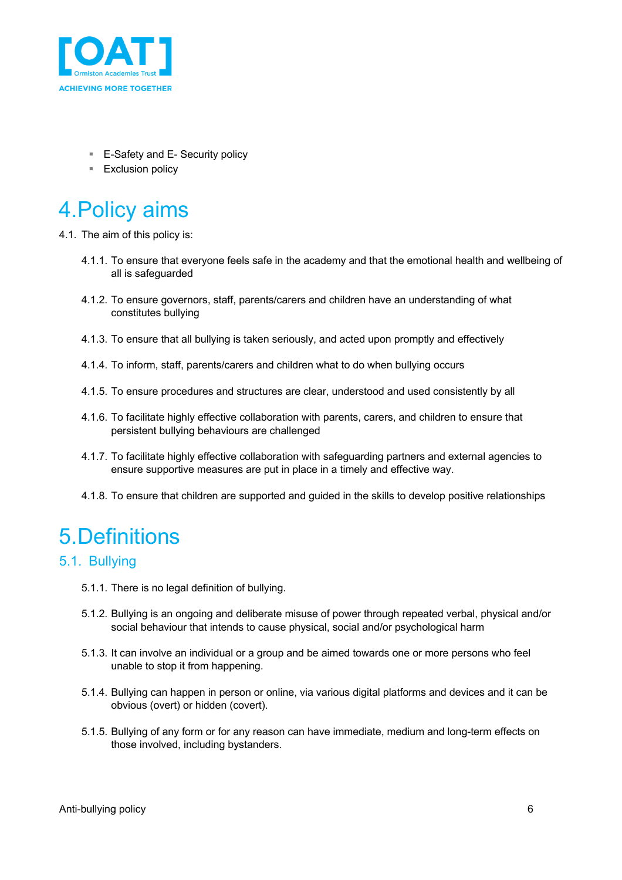

- E-Safety and E- Security policy
- Exclusion policy

## 4.Policy aims

4.1. The aim of this policy is:

- 4.1.1. To ensure that everyone feels safe in the academy and that the emotional health and wellbeing of all is safeguarded
- 4.1.2. To ensure governors, staff, parents/carers and children have an understanding of what constitutes bullying
- 4.1.3. To ensure that all bullying is taken seriously, and acted upon promptly and effectively
- 4.1.4. To inform, staff, parents/carers and children what to do when bullying occurs
- 4.1.5. To ensure procedures and structures are clear, understood and used consistently by all
- 4.1.6. To facilitate highly effective collaboration with parents, carers, and children to ensure that persistent bullying behaviours are challenged
- 4.1.7. To facilitate highly effective collaboration with safeguarding partners and external agencies to ensure supportive measures are put in place in a timely and effective way.
- 4.1.8. To ensure that children are supported and guided in the skills to develop positive relationships

## 5.Definitions

### 5.1. Bullying

- 5.1.1. There is no legal definition of bullying.
- 5.1.2. Bullying is an ongoing and deliberate misuse of power through repeated verbal, physical and/or social behaviour that intends to cause physical, social and/or psychological harm
- 5.1.3. It can involve an individual or a group and be aimed towards one or more persons who feel unable to stop it from happening.
- 5.1.4. Bullying can happen in person or online, via various digital platforms and devices and it can be obvious (overt) or hidden (covert).
- 5.1.5. Bullying of any form or for any reason can have immediate, medium and long-term effects on those involved, including bystanders.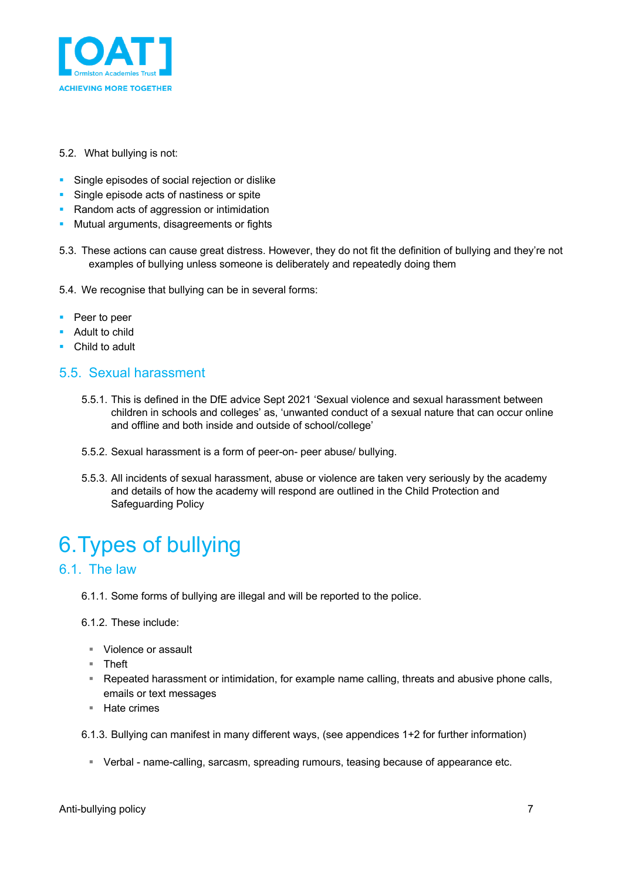

#### 5.2. What bullying is not:

- **•** Single episodes of social rejection or dislike
- **•** Single episode acts of nastiness or spite
- Random acts of aggression or intimidation
- Mutual arguments, disagreements or fights
- 5.3. These actions can cause great distress. However, they do not fit the definition of bullying and they're not examples of bullying unless someone is deliberately and repeatedly doing them
- 5.4. We recognise that bullying can be in several forms:
- Peer to peer
- Adult to child
- Child to adult

### 5.5. Sexual harassment

- 5.5.1. This is defined in the DfE advice Sept 2021 'Sexual violence and sexual harassment between children in schools and colleges' as, 'unwanted conduct of a sexual nature that can occur online and offline and both inside and outside of school/college'
- 5.5.2. Sexual harassment is a form of peer-on- peer abuse/ bullying.
- 5.5.3. All incidents of sexual harassment, abuse or violence are taken very seriously by the academy and details of how the academy will respond are outlined in the Child Protection and Safeguarding Policy

## 6.Types of bullying

### 6.1. The law

- 6.1.1. Some forms of bullying are illegal and will be reported to the police.
- 6.1.2. These include:
	- Violence or assault
	- § Theft
	- § Repeated harassment or intimidation, for example name calling, threats and abusive phone calls, emails or text messages
	- Hate crimes

6.1.3. Bullying can manifest in many different ways, (see appendices 1+2 for further information)

§ Verbal - name-calling, sarcasm, spreading rumours, teasing because of appearance etc.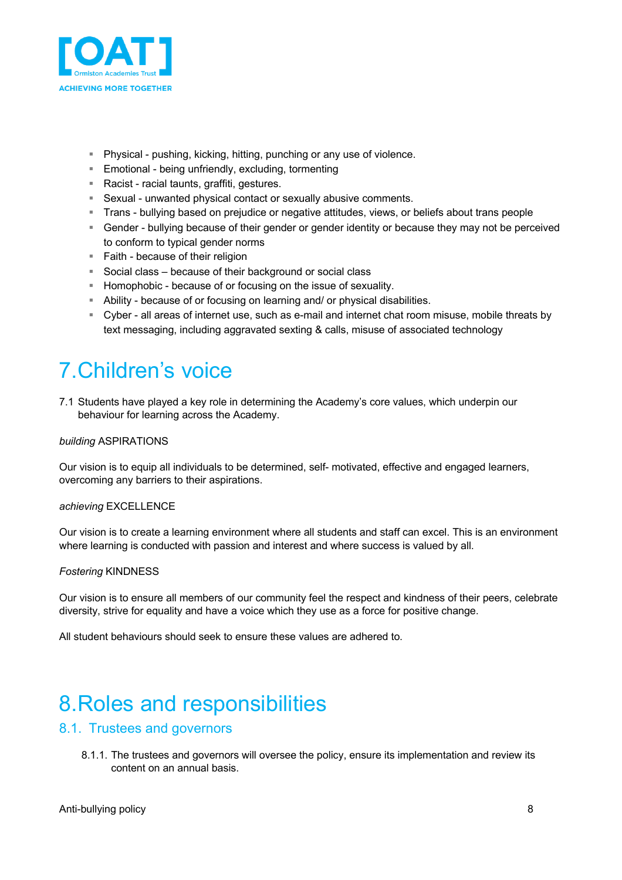

- Physical pushing, kicking, hitting, punching or any use of violence.
- Emotional being unfriendly, excluding, tormenting
- Racist racial taunts, graffiti, gestures.
- Sexual unwanted physical contact or sexually abusive comments.
- § Trans bullying based on prejudice or negative attitudes, views, or beliefs about trans people
- § Gender bullying because of their gender or gender identity or because they may not be perceived to conform to typical gender norms
- Faith because of their religion
- Social class because of their background or social class
- § Homophobic because of or focusing on the issue of sexuality.
- § Ability because of or focusing on learning and/ or physical disabilities.
- § Cyber all areas of internet use, such as e-mail and internet chat room misuse, mobile threats by text messaging, including aggravated sexting & calls, misuse of associated technology

# 7.Children's voice

7.1 Students have played a key role in determining the Academy's core values, which underpin our behaviour for learning across the Academy.

#### *building* ASPIRATIONS

Our vision is to equip all individuals to be determined, self- motivated, effective and engaged learners, overcoming any barriers to their aspirations.

#### *achieving* EXCELLENCE

Our vision is to create a learning environment where all students and staff can excel. This is an environment where learning is conducted with passion and interest and where success is valued by all.

#### *Fostering* KINDNESS

Our vision is to ensure all members of our community feel the respect and kindness of their peers, celebrate diversity, strive for equality and have a voice which they use as a force for positive change.

All student behaviours should seek to ensure these values are adhered to.

## 8.Roles and responsibilities

### 8.1. Trustees and governors

8.1.1. The trustees and governors will oversee the policy, ensure its implementation and review its content on an annual basis.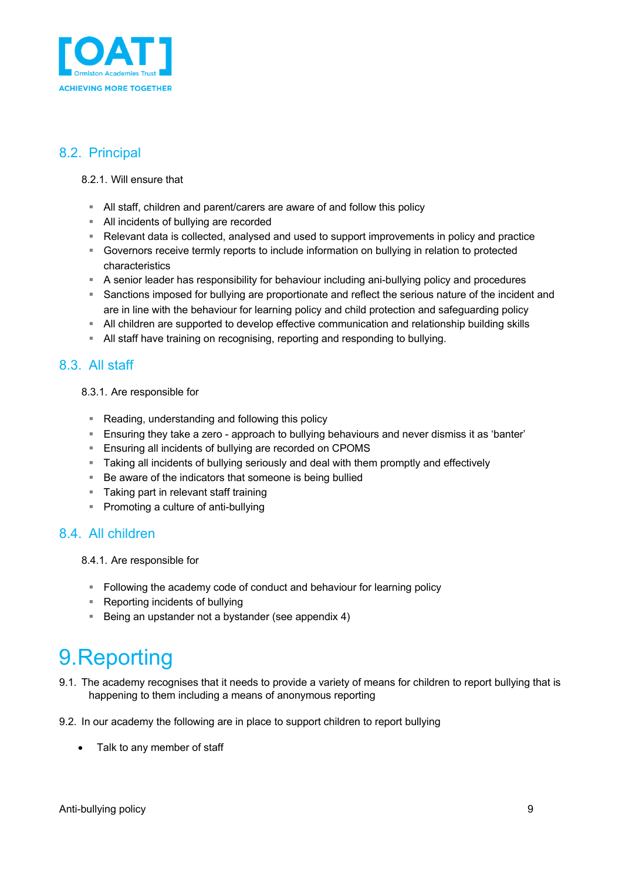

### 8.2. Principal

#### 8.2.1. Will ensure that

- § All staff, children and parent/carers are aware of and follow this policy
- § All incidents of bullying are recorded
- Relevant data is collected, analysed and used to support improvements in policy and practice
- § Governors receive termly reports to include information on bullying in relation to protected characteristics
- § A senior leader has responsibility for behaviour including ani-bullying policy and procedures
- § Sanctions imposed for bullying are proportionate and reflect the serious nature of the incident and are in line with the behaviour for learning policy and child protection and safeguarding policy
- § All children are supported to develop effective communication and relationship building skills
- § All staff have training on recognising, reporting and responding to bullying.

### 8.3. All staff

8.3.1. Are responsible for

- Reading, understanding and following this policy
- **E** Ensuring they take a zero approach to bullying behaviours and never dismiss it as 'banter'
- Ensuring all incidents of bullying are recorded on CPOMS
- § Taking all incidents of bullying seriously and deal with them promptly and effectively
- Be aware of the indicators that someone is being bullied
- Taking part in relevant staff training
- Promoting a culture of anti-bullying

### 8.4. All children

8.4.1. Are responsible for

- Following the academy code of conduct and behaviour for learning policy
- Reporting incidents of bullying
- Being an upstander not a bystander (see appendix 4)

# 9.Reporting

- 9.1. The academy recognises that it needs to provide a variety of means for children to report bullying that is happening to them including a means of anonymous reporting
- 9.2. In our academy the following are in place to support children to report bullying
	- Talk to any member of staff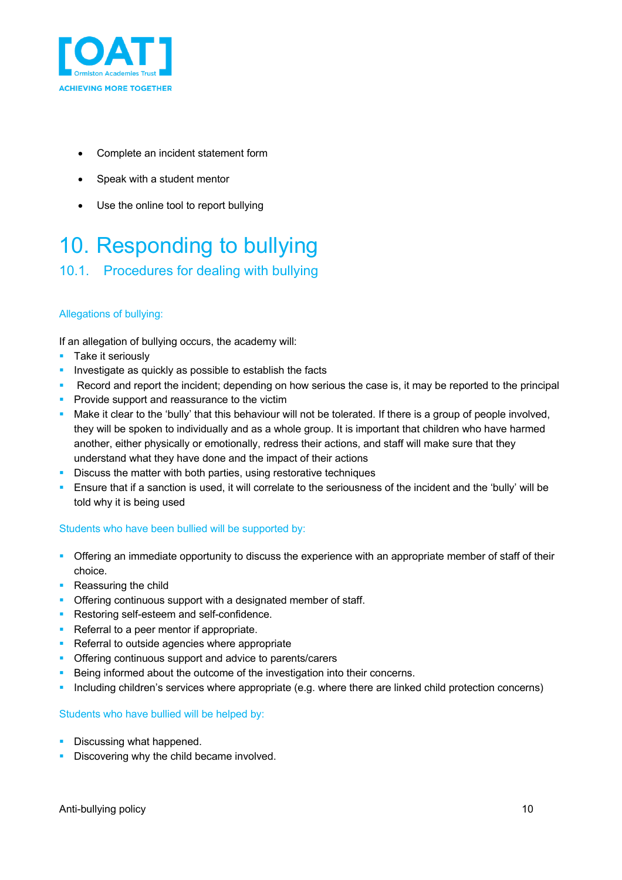

- Complete an incident statement form
- Speak with a student mentor
- Use the online tool to report bullying

## 10. Responding to bullying

### 10.1. Procedures for dealing with bullying

#### Allegations of bullying:

If an allegation of bullying occurs, the academy will:

- Take it seriously
- **•** Investigate as quickly as possible to establish the facts
- § Record and report the incident; depending on how serious the case is, it may be reported to the principal
- **Provide support and reassurance to the victim**
- Make it clear to the 'bully' that this behaviour will not be tolerated. If there is a group of people involved, they will be spoken to individually and as a whole group. It is important that children who have harmed another, either physically or emotionally, redress their actions, and staff will make sure that they understand what they have done and the impact of their actions
- **Discuss the matter with both parties, using restorative techniques**
- Ensure that if a sanction is used, it will correlate to the seriousness of the incident and the 'bully' will be told why it is being used

#### Students who have been bullied will be supported by:

- Offering an immediate opportunity to discuss the experience with an appropriate member of staff of their choice.
- Reassuring the child
- **Offering continuous support with a designated member of staff.**
- Restoring self-esteem and self-confidence.
- Referral to a peer mentor if appropriate.
- Referral to outside agencies where appropriate
- Offering continuous support and advice to parents/carers
- Being informed about the outcome of the investigation into their concerns.
- § Including children's services where appropriate (e.g. where there are linked child protection concerns)

#### Students who have bullied will be helped by:

- Discussing what happened.
- **Discovering why the child became involved.**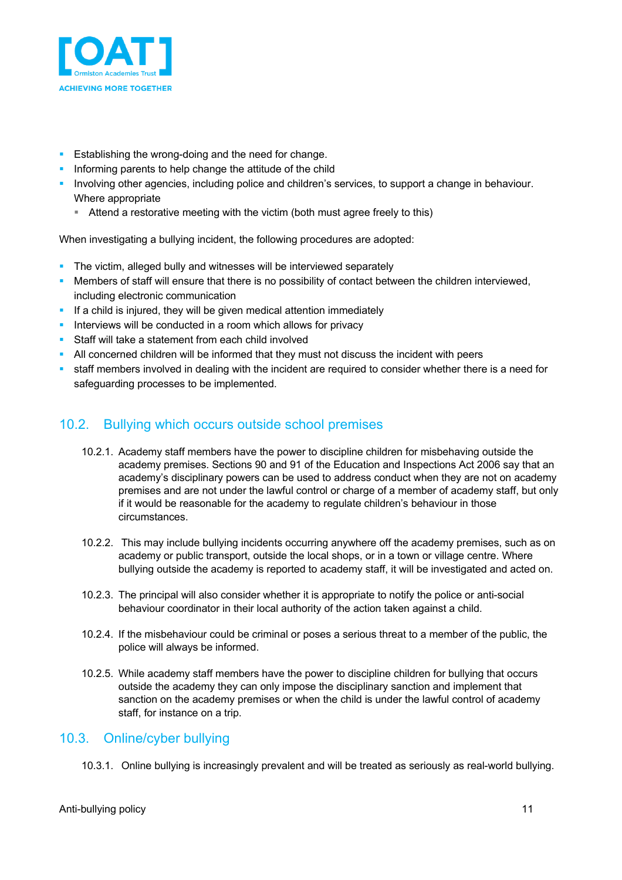

- **Establishing the wrong-doing and the need for change.**
- **Informing parents to help change the attitude of the child**
- § Involving other agencies, including police and children's services, to support a change in behaviour. Where appropriate
	- Attend a restorative meeting with the victim (both must agree freely to this)

When investigating a bullying incident, the following procedures are adopted:

- The victim, alleged bully and witnesses will be interviewed separately
- Members of staff will ensure that there is no possibility of contact between the children interviewed, including electronic communication
- If a child is injured, they will be given medical attention immediately
- **EXT** Interviews will be conducted in a room which allows for privacy
- Staff will take a statement from each child involved
- § All concerned children will be informed that they must not discuss the incident with peers
- staff members involved in dealing with the incident are required to consider whether there is a need for safeguarding processes to be implemented.

### 10.2. Bullying which occurs outside school premises

- 10.2.1. Academy staff members have the power to discipline children for misbehaving outside the academy premises. Sections 90 and 91 of the Education and Inspections Act 2006 say that an academy's disciplinary powers can be used to address conduct when they are not on academy premises and are not under the lawful control or charge of a member of academy staff, but only if it would be reasonable for the academy to regulate children's behaviour in those circumstances.
- 10.2.2. This may include bullying incidents occurring anywhere off the academy premises, such as on academy or public transport, outside the local shops, or in a town or village centre. Where bullying outside the academy is reported to academy staff, it will be investigated and acted on.
- 10.2.3. The principal will also consider whether it is appropriate to notify the police or anti-social behaviour coordinator in their local authority of the action taken against a child.
- 10.2.4. If the misbehaviour could be criminal or poses a serious threat to a member of the public, the police will always be informed.
- 10.2.5. While academy staff members have the power to discipline children for bullying that occurs outside the academy they can only impose the disciplinary sanction and implement that sanction on the academy premises or when the child is under the lawful control of academy staff, for instance on a trip.

### 10.3. Online/cyber bullying

10.3.1. Online bullying is increasingly prevalent and will be treated as seriously as real-world bullying.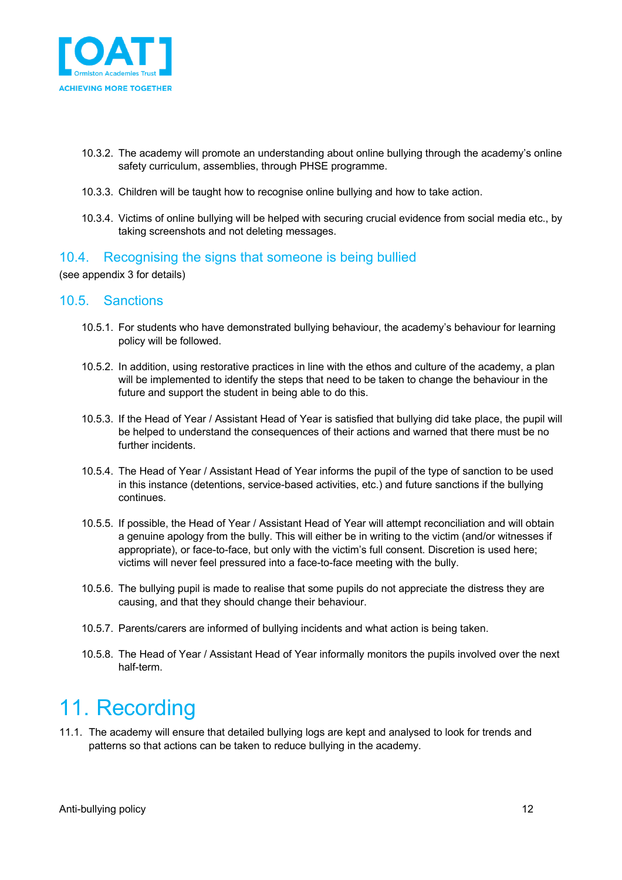

- 10.3.2. The academy will promote an understanding about online bullying through the academy's online safety curriculum, assemblies, through PHSE programme.
- 10.3.3. Children will be taught how to recognise online bullying and how to take action.
- 10.3.4. Victims of online bullying will be helped with securing crucial evidence from social media etc., by taking screenshots and not deleting messages.

### 10.4. Recognising the signs that someone is being bullied

(see appendix 3 for details)

### 10.5. Sanctions

- 10.5.1. For students who have demonstrated bullying behaviour, the academy's behaviour for learning policy will be followed.
- 10.5.2. In addition, using restorative practices in line with the ethos and culture of the academy, a plan will be implemented to identify the steps that need to be taken to change the behaviour in the future and support the student in being able to do this.
- 10.5.3. If the Head of Year / Assistant Head of Year is satisfied that bullying did take place, the pupil will be helped to understand the consequences of their actions and warned that there must be no further incidents.
- 10.5.4. The Head of Year / Assistant Head of Year informs the pupil of the type of sanction to be used in this instance (detentions, service-based activities, etc.) and future sanctions if the bullying continues.
- 10.5.5. If possible, the Head of Year / Assistant Head of Year will attempt reconciliation and will obtain a genuine apology from the bully. This will either be in writing to the victim (and/or witnesses if appropriate), or face-to-face, but only with the victim's full consent. Discretion is used here; victims will never feel pressured into a face-to-face meeting with the bully.
- 10.5.6. The bullying pupil is made to realise that some pupils do not appreciate the distress they are causing, and that they should change their behaviour.
- 10.5.7. Parents/carers are informed of bullying incidents and what action is being taken.
- 10.5.8. The Head of Year / Assistant Head of Year informally monitors the pupils involved over the next half-term.

## 11. Recording

11.1. The academy will ensure that detailed bullying logs are kept and analysed to look for trends and patterns so that actions can be taken to reduce bullying in the academy.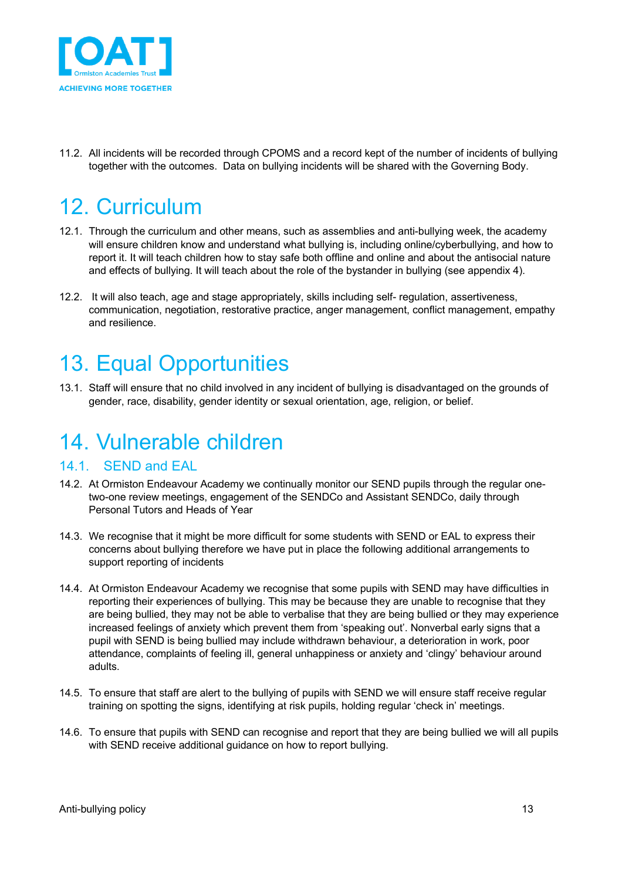

11.2. All incidents will be recorded through CPOMS and a record kept of the number of incidents of bullying together with the outcomes. Data on bullying incidents will be shared with the Governing Body.

# 12. Curriculum

- 12.1. Through the curriculum and other means, such as assemblies and anti-bullying week, the academy will ensure children know and understand what bullying is, including online/cyberbullying, and how to report it. It will teach children how to stay safe both offline and online and about the antisocial nature and effects of bullying. It will teach about the role of the bystander in bullying (see appendix 4).
- 12.2. It will also teach, age and stage appropriately, skills including self- regulation, assertiveness, communication, negotiation, restorative practice, anger management, conflict management, empathy and resilience.

## 13. Equal Opportunities

13.1. Staff will ensure that no child involved in any incident of bullying is disadvantaged on the grounds of gender, race, disability, gender identity or sexual orientation, age, religion, or belief.

## 14. Vulnerable children

### 14.1. SEND and EAL

- 14.2. At Ormiston Endeavour Academy we continually monitor our SEND pupils through the regular onetwo-one review meetings, engagement of the SENDCo and Assistant SENDCo, daily through Personal Tutors and Heads of Year
- 14.3. We recognise that it might be more difficult for some students with SEND or EAL to express their concerns about bullying therefore we have put in place the following additional arrangements to support reporting of incidents
- 14.4. At Ormiston Endeavour Academy we recognise that some pupils with SEND may have difficulties in reporting their experiences of bullying. This may be because they are unable to recognise that they are being bullied, they may not be able to verbalise that they are being bullied or they may experience increased feelings of anxiety which prevent them from 'speaking out'. Nonverbal early signs that a pupil with SEND is being bullied may include withdrawn behaviour, a deterioration in work, poor attendance, complaints of feeling ill, general unhappiness or anxiety and 'clingy' behaviour around adults.
- 14.5. To ensure that staff are alert to the bullying of pupils with SEND we will ensure staff receive regular training on spotting the signs, identifying at risk pupils, holding regular 'check in' meetings.
- 14.6. To ensure that pupils with SEND can recognise and report that they are being bullied we will all pupils with SEND receive additional guidance on how to report bullying.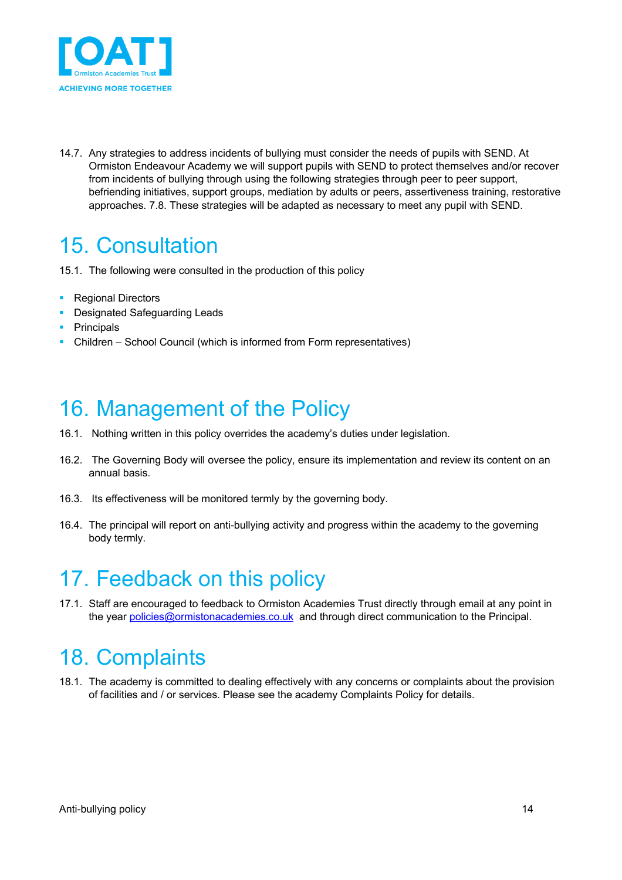

14.7. Any strategies to address incidents of bullying must consider the needs of pupils with SEND. At Ormiston Endeavour Academy we will support pupils with SEND to protect themselves and/or recover from incidents of bullying through using the following strategies through peer to peer support, befriending initiatives, support groups, mediation by adults or peers, assertiveness training, restorative approaches. 7.8. These strategies will be adapted as necessary to meet any pupil with SEND.

## 15. Consultation

- 15.1. The following were consulted in the production of this policy
- Regional Directors
- Designated Safeguarding Leads
- Principals
- Children School Council (which is informed from Form representatives)

## 16. Management of the Policy

- 16.1. Nothing written in this policy overrides the academy's duties under legislation.
- 16.2. The Governing Body will oversee the policy, ensure its implementation and review its content on an annual basis.
- 16.3. Its effectiveness will be monitored termly by the governing body.
- 16.4. The principal will report on anti-bullying activity and progress within the academy to the governing body termly.

## 17. Feedback on this policy

17.1. Staff are encouraged to feedback to Ormiston Academies Trust directly through email at any point in the year policies@ormistonacademies.co.uk and through direct communication to the Principal.

## 18. Complaints

18.1. The academy is committed to dealing effectively with any concerns or complaints about the provision of facilities and / or services. Please see the academy Complaints Policy for details.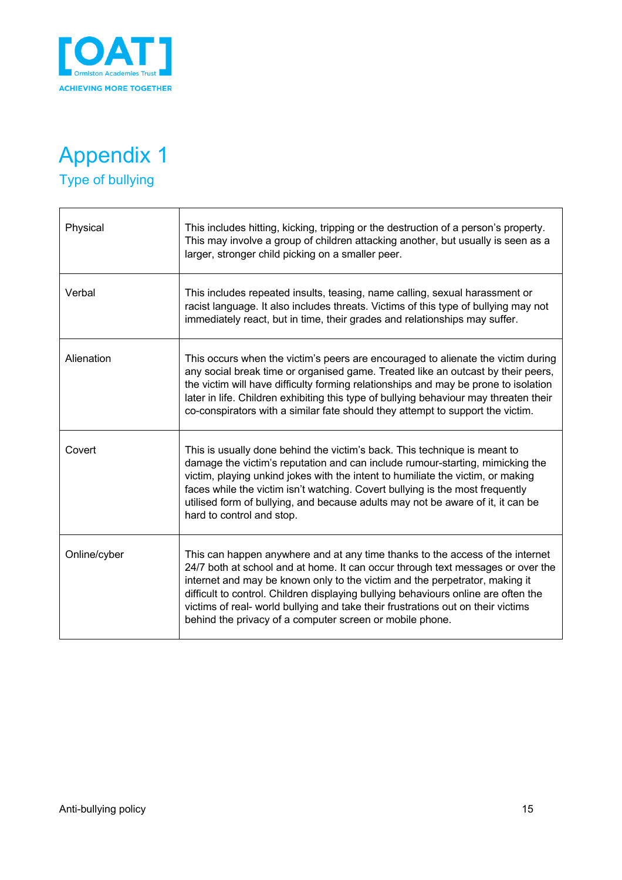

## Appendix 1 Type of bullying

**r** 

| Physical     | This includes hitting, kicking, tripping or the destruction of a person's property.<br>This may involve a group of children attacking another, but usually is seen as a<br>larger, stronger child picking on a smaller peer.                                                                                                                                                                                                                                                          |
|--------------|---------------------------------------------------------------------------------------------------------------------------------------------------------------------------------------------------------------------------------------------------------------------------------------------------------------------------------------------------------------------------------------------------------------------------------------------------------------------------------------|
| Verbal       | This includes repeated insults, teasing, name calling, sexual harassment or<br>racist language. It also includes threats. Victims of this type of bullying may not<br>immediately react, but in time, their grades and relationships may suffer.                                                                                                                                                                                                                                      |
| Alienation   | This occurs when the victim's peers are encouraged to alienate the victim during<br>any social break time or organised game. Treated like an outcast by their peers,<br>the victim will have difficulty forming relationships and may be prone to isolation<br>later in life. Children exhibiting this type of bullying behaviour may threaten their<br>co-conspirators with a similar fate should they attempt to support the victim.                                                |
| Covert       | This is usually done behind the victim's back. This technique is meant to<br>damage the victim's reputation and can include rumour-starting, mimicking the<br>victim, playing unkind jokes with the intent to humiliate the victim, or making<br>faces while the victim isn't watching. Covert bullying is the most frequently<br>utilised form of bullying, and because adults may not be aware of it, it can be<br>hard to control and stop.                                        |
| Online/cyber | This can happen anywhere and at any time thanks to the access of the internet<br>24/7 both at school and at home. It can occur through text messages or over the<br>internet and may be known only to the victim and the perpetrator, making it<br>difficult to control. Children displaying bullying behaviours online are often the<br>victims of real- world bullying and take their frustrations out on their victims<br>behind the privacy of a computer screen or mobile phone. |

ī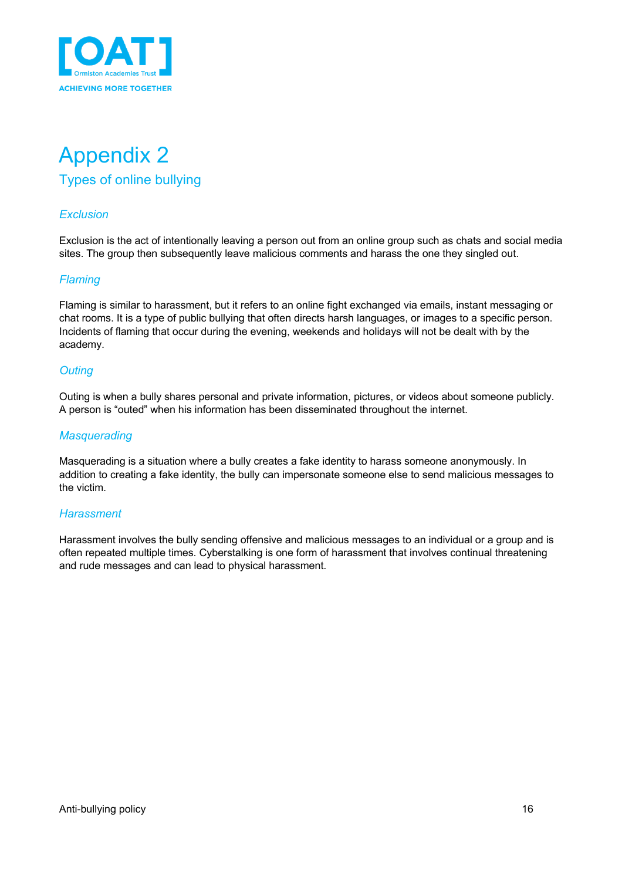

## Appendix 2 Types of online bullying

### *Exclusion*

Exclusion is the act of intentionally leaving a person out from an online group such as chats and social media sites. The group then subsequently leave malicious comments and harass the one they singled out.

### *Flaming*

Flaming is similar to harassment, but it refers to an online fight exchanged via emails, instant messaging or chat rooms. It is a type of public bullying that often directs harsh languages, or images to a specific person. Incidents of flaming that occur during the evening, weekends and holidays will not be dealt with by the academy.

### *Outing*

Outing is when a bully shares personal and private information, pictures, or videos about someone publicly. A person is "outed" when his information has been disseminated throughout the internet.

#### *Masquerading*

Masquerading is a situation where a bully creates a fake identity to harass someone anonymously. In addition to creating a fake identity, the bully can impersonate someone else to send malicious messages to the victim.

#### *Harassment*

Harassment involves the bully sending offensive and malicious messages to an individual or a group and is often repeated multiple times. Cyberstalking is one form of harassment that involves continual threatening and rude messages and can lead to physical harassment.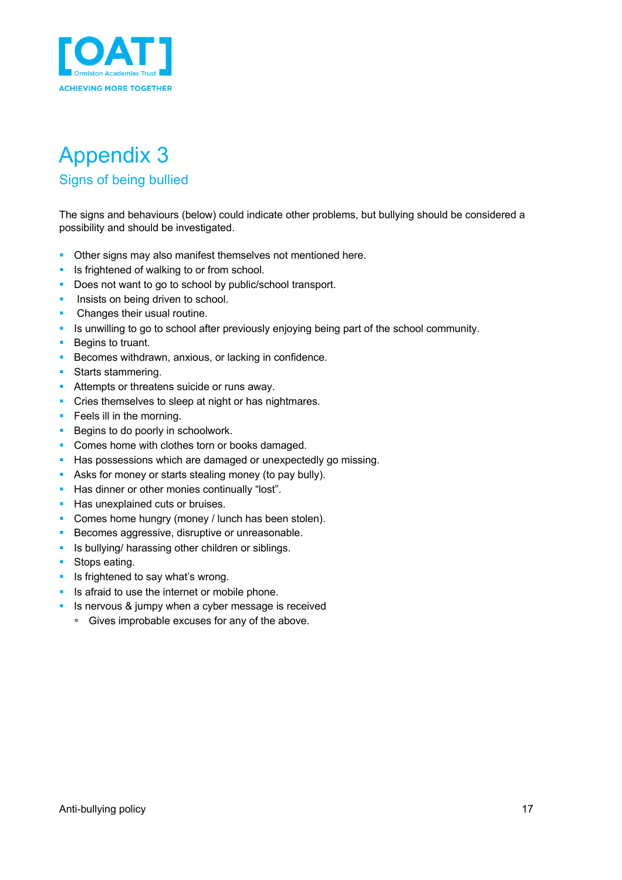

# Appendix 3

### Signs of being bullied

The signs and behaviours (below) could indicate other problems, but bullying should be considered a possibility and should be investigated.

- Other signs may also manifest themselves not mentioned here.
- **•** Is frightened of walking to or from school.
- Does not want to go to school by public/school transport.
- **•** Insists on being driven to school.
- **•** Changes their usual routine.
- § Is unwilling to go to school after previously enjoying being part of the school community.
- Begins to truant.
- Becomes withdrawn, anxious, or lacking in confidence.
- Starts stammering.
- Attempts or threatens suicide or runs away.
- Cries themselves to sleep at night or has nightmares.
- Feels ill in the morning.
- Begins to do poorly in schoolwork.
- Comes home with clothes torn or books damaged.
- Has possessions which are damaged or unexpectedly go missing.
- Asks for money or starts stealing money (to pay bully).
- **E** Has dinner or other monies continually "lost".
- Has unexplained cuts or bruises.
- Comes home hungry (money / lunch has been stolen).
- Becomes aggressive, disruptive or unreasonable.
- Is bullying/ harassing other children or siblings.
- Stops eating.
- **•** Is frightened to say what's wrong.
- Is afraid to use the internet or mobile phone.
- Is nervous & jumpy when a cyber message is received
	- Gives improbable excuses for any of the above.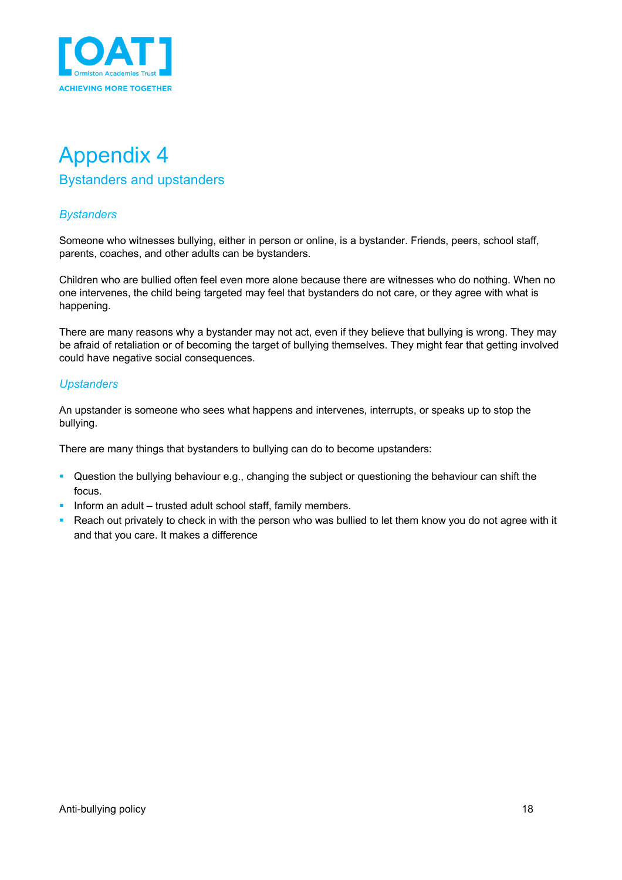

## Appendix 4 Bystanders and upstanders

### *Bystanders*

Someone who witnesses bullying, either in person or online, is a bystander. Friends, peers, school staff, parents, coaches, and other adults can be bystanders.

Children who are bullied often feel even more alone because there are witnesses who do nothing. When no one intervenes, the child being targeted may feel that bystanders do not care, or they agree with what is happening.

There are many reasons why a bystander may not act, even if they believe that bullying is wrong. They may be afraid of retaliation or of becoming the target of bullying themselves. They might fear that getting involved could have negative social consequences.

### *Upstanders*

An upstander is someone who sees what happens and intervenes, interrupts, or speaks up to stop the bullying.

There are many things that bystanders to bullying can do to become upstanders:

- § Question the bullying behaviour e.g., changing the subject or questioning the behaviour can shift the focus.
- **•** Inform an adult trusted adult school staff, family members.
- Reach out privately to check in with the person who was bullied to let them know you do not agree with it and that you care. It makes a difference